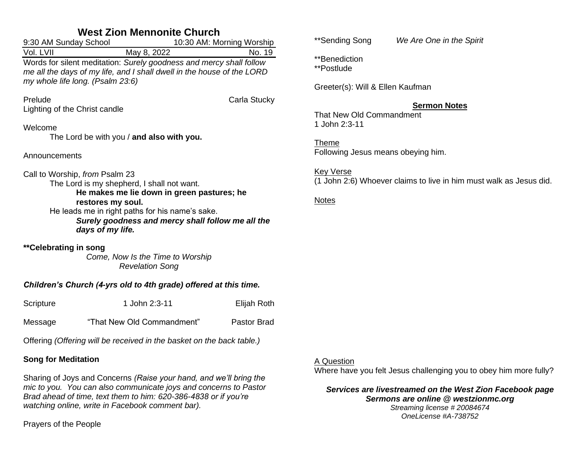## **West Zion Mennonite Church**

| 9:30 AM Sunday School                                                                                                                                                             | 10:30 AM: Morning Worship                 |              |
|-----------------------------------------------------------------------------------------------------------------------------------------------------------------------------------|-------------------------------------------|--------------|
| Vol. LVII                                                                                                                                                                         | May 8, 2022                               | No. 19       |
| Words for silent meditation: Surely goodness and mercy shall follow<br>me all the days of my life, and I shall dwell in the house of the LORD<br>my whole life long. (Psalm 23:6) |                                           |              |
| Prelude<br>Lighting of the Christ candle                                                                                                                                          |                                           | Carla Stucky |
| Welcome                                                                                                                                                                           | The Lord be with you / and also with you. |              |
| Announcements                                                                                                                                                                     |                                           |              |
| Call to Worship, from Psalm 23<br>The Lord is my shepherd, I shall not want.<br>He makes me lie down in green pastures; he                                                        |                                           |              |

**restores my soul.** He leads me in right paths for his name's sake. *Surely goodness and mercy shall follow me all the days of my life.*

**\*\*Celebrating in song** *Come, Now Is the Time to Worship Revelation Song*

### *Children's Church (4-yrs old to 4th grade) offered at this time.*

| Scripture | 1 John 2:3-11 | Elijah Roth |
|-----------|---------------|-------------|
|-----------|---------------|-------------|

Message "That New Old Commandment" Pastor Brad

Offering *(Offering will be received in the basket on the back table.)*

### **Song for Meditation**

Sharing of Joys and Concerns *(Raise your hand, and we'll bring the mic to you. You can also communicate joys and concerns to Pastor Brad ahead of time, text them to him: 620-386-4838 or if you're watching online, write in Facebook comment bar).*

Prayers of the People

\*\*Sending Song *We Are One in the Spirit*

\*\*Benediction

\*\*Postlude

Greeter(s): Will & Ellen Kaufman

## **Sermon Notes**

That New Old Commandment 1 John 2:3-11

Theme

Following Jesus means obeying him.

Key Verse

(1 John 2:6) Whoever claims to live in him must walk as Jesus did.

Notes

## A Question

Where have you felt Jesus challenging you to obey him more fully?

*Services are livestreamed on the West Zion Facebook page Sermons are online @ westzionmc.org Streaming license # 20084674*

*OneLicense #A-738752*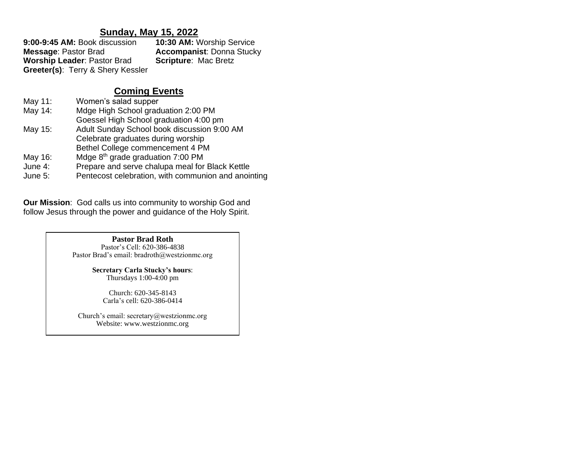## **Sunday, May 15, 2022**

| 9:00-9:45 AM: Book discussion                | 10:30 AM: Worship Service        |
|----------------------------------------------|----------------------------------|
| <b>Message: Pastor Brad</b>                  | <b>Accompanist: Donna Stucky</b> |
| <b>Worship Leader: Pastor Brad</b>           | <b>Scripture: Mac Bretz</b>      |
| <b>Greeter(s): Terry &amp; Shery Kessler</b> |                                  |

## **Coming Events**

May 11: Women's salad supper May 14: Mdge High School graduation 2:00 PM Goessel High School graduation 4:00 pm May 15: Adult Sunday School book discussion 9:00 AM Celebrate graduates during worship Bethel College commencement 4 PM May 16: Mdge  $8<sup>th</sup>$  grade graduation 7:00 PM June 4: Prepare and serve chalupa meal for Black Kettle June 5: Pentecost celebration, with communion and anointing

**Our Mission**: God calls us into community to worship God and follow Jesus through the power and guidance of the Holy Spirit.

#### **Pastor Brad Roth** Pastor's Cell: 620-386-4838 Pastor Brad's email: bradroth@westzionmc.org

**Secretary Carla Stucky's hours**: Thursdays 1:00-4:00 pm

Church: 620-345-8143 Carla's cell: 620-386-0414

Church's email: secretary@westzionmc.org Website: www.westzionmc.org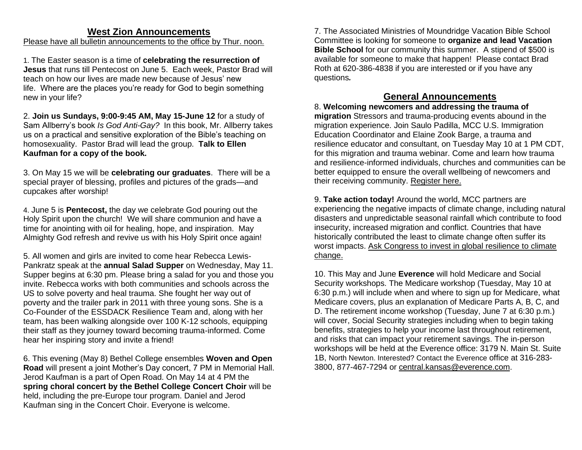### **West Zion Announcements**

#### Please have all bulletin announcements to the office by Thur. noon.

1. The Easter season is a time of **celebrating the resurrection of Jesus** that runs till Pentecost on June 5. Each week, Pastor Brad will teach on how our lives are made new because of Jesus' new life. Where are the places you're ready for God to begin something new in your life?

2. **Join us Sundays, 9:00-9:45 AM, May 15-June 12** for a study of Sam Allberry's book *Is God Anti-Gay?* In this book, Mr. Allberry takes us on a practical and sensitive exploration of the Bible's teaching on homosexuality. Pastor Brad will lead the group. **Talk to Ellen Kaufman for a copy of the book.**

3. On May 15 we will be **celebrating our graduates**. There will be a special prayer of blessing, profiles and pictures of the grads—and cupcakes after worship!

4. June 5 is **Pentecost,** the day we celebrate God pouring out the Holy Spirit upon the church! We will share communion and have a time for anointing with oil for healing, hope, and inspiration. May Almighty God refresh and revive us with his Holy Spirit once again!

5. All women and girls are invited to come hear Rebecca Lewis-Pankratz speak at the **annual Salad Supper** on Wednesday, May 11. Supper begins at 6:30 pm. Please bring a salad for you and those you invite. Rebecca works with both communities and schools across the US to solve poverty and heal trauma. She fought her way out of poverty and the trailer park in 2011 with three young sons. She is a Co-Founder of the ESSDACK Resilience Team and, along with her team, has been walking alongside over 100 K-12 schools, equipping their staff as they journey toward becoming trauma-informed. Come hear her inspiring story and invite a friend!

6. This evening (May 8) Bethel College ensembles **Woven and Open Road** will present a joint Mother's Day concert, 7 PM in Memorial Hall. Jerod Kaufman is a part of Open Road. On May 14 at 4 PM the **spring choral concert by the Bethel College Concert Choir** will be held, including the pre-Europe tour program. Daniel and Jerod Kaufman sing in the Concert Choir. Everyone is welcome.

7. The Associated Ministries of Moundridge Vacation Bible School Committee is looking for someone to **organize and lead Vacation Bible School** for our community this summer. A stipend of \$500 is available for someone to make that happen! Please contact Brad Roth at 620-386-4838 if you are interested or if you have any questions*.*

#### **General Announcements**

8. **Welcoming newcomers and addressing the trauma of migration** Stressors and trauma-producing events abound in the migration experience. Join Saulo Padilla, MCC U.S. Immigration Education Coordinator and Elaine Zook Barge, a trauma and resilience educator and consultant, on Tuesday May 10 at 1 PM CDT, for this migration and trauma webinar. Come and learn how trauma and resilience-informed individuals, churches and communities can be better equipped to ensure the overall wellbeing of newcomers and their receiving community. [Register here.](https://mcc.zoom.us/webinar/register/WN_pXQPnoejSSaVZlYyn0K4nQ)

9. **Take action today!** Around the world, MCC partners are experiencing the negative impacts of climate change, including natural disasters and unpredictable seasonal rainfall which contribute to food insecurity, increased migration and conflict. Countries that have historically contributed the least to climate change often suffer its worst impacts. Ask Congress to invest in global resilience to climate [change.](https://mcc.org/get-involved/advocacy/washington?vvsrc=%2fcampaigns%2f94267%2frespond) 

10. This May and June **Everence** will hold Medicare and Social Security workshops. The Medicare workshop (Tuesday, May 10 at 6:30 p.m.) will include when and where to sign up for Medicare, what Medicare covers, plus an explanation of Medicare Parts A, B, C, and D. The retirement income workshop (Tuesday, June 7 at 6:30 p.m.) will cover, Social Security strategies including when to begin taking benefits, strategies to help your income last throughout retirement, and risks that can impact your retirement savings. The in-person workshops will be held at the Everence office: 3179 N. Main St. Suite 1B, North Newton. Interested? Contact the Everence office at 316-283- 3800, 877-467-7294 or [central.kansas@everence.com.](mailto:central.kansas@everence.com)